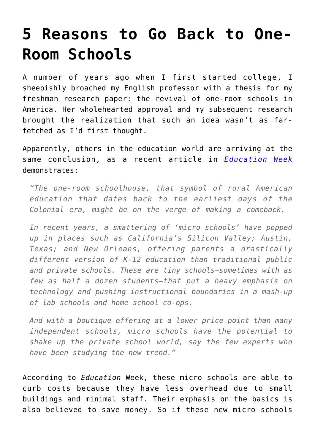## **[5 Reasons to Go Back to One-](https://intellectualtakeout.org/2016/02/5-reasons-to-go-back-to-one-room-schools/)[Room Schools](https://intellectualtakeout.org/2016/02/5-reasons-to-go-back-to-one-room-schools/)**

A number of years ago when I first started college, I sheepishly broached my English professor with a thesis for my freshman research paper: the revival of one-room schools in America. Her wholehearted approval and my subsequent research brought the realization that such an idea wasn't as farfetched as I'd first thought.

Apparently, others in the education world are arriving at the same conclusion, as a recent article in *[Education Week](http://www.edweek.org/ew/articles/2016/01/27/micro-schools-could-be-new-competition-for.html?cmp=eml-enl-eu-news1)* demonstrates:

*"The one-room schoolhouse, that symbol of rural American education that dates back to the earliest days of the Colonial era, might be on the verge of making a comeback.*

*In recent years, a smattering of 'micro schools' have popped up in places such as California's Silicon Valley; Austin, Texas; and New Orleans, offering parents a drastically different version of K-12 education than traditional public and private schools. These are tiny schools—sometimes with as few as half a dozen students—that put a heavy emphasis on technology and pushing instructional boundaries in a mash-up of lab schools and home school co-ops.*

*And with a boutique offering at a lower price point than many independent schools, micro schools have the potential to shake up the private school world, say the few experts who have been studying the new trend."*

According to *Education* Week, these micro schools are able to curb costs because they have less overhead due to small buildings and minimal staff. Their emphasis on the basics is also believed to save money. So if these new micro schools